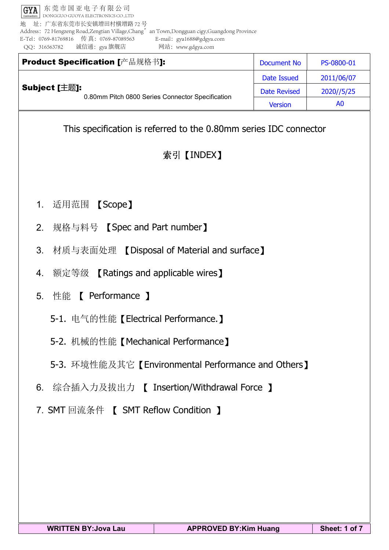东莞市国亚电子有限公司 GYA DONGGUO GUOYA ELECTRONICS CO.,LTD 地 址:广东省东莞市长安镇增田村横增路 72 号 Address: 72 Hengzeng Road,Zengtian Village,Chang' an Town,Dongguan cigy,Guangdong Province E-Tel:0769-81769816 传 真:0769-87089563 E-mail:gya1688@gdgya.com QQ:316563782 诚信通:gya 旗舰店 网站:www.gdgya.com

|               | Product Specification [产品规格书]:                   | Document No         | PS-0800-01     |
|---------------|--------------------------------------------------|---------------------|----------------|
|               |                                                  | Date Issued         | 2011/06/07     |
| Subject [主题]: | 0.80mm Pitch 0800 Series Connector Specification | <b>Date Revised</b> | 2020//5/25     |
|               |                                                  | <b>Version</b>      | A <sub>0</sub> |

This specification is referred to the 0.80mm series IDC connector

# 索引【INDEX】

- 1. 适用范围 【Scope】
- 2. 规格与料号 【Spec and Part number】
- 3. 材质与表面处理 【Disposal of Material and surface】
- 4. 额定等级 【Ratings and applicable wires】
- 5. 性能 【 Performance 】
	- 5-1. 电气的性能【Electrical Performance.】
	- 5-2. 机械的性能【Mechanical Performance】
	- 5-3. 环境性能及其它【Environmental Performance and Others】
- 6. 综合插入力及拔出力 【 Insertion/Withdrawal Force 】
- 7. SMT 回流条件 【 SMT Reflow Condition 】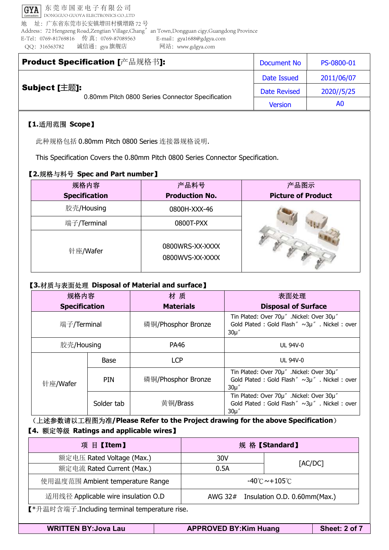东莞市国亚电子有限公司 GYA DONGGUO GUOYA ELECTRONICS CO.,LTD 地 址:广东省东莞市长安镇增田村横增路 72 号 Address:72 Hengzeng Road,Zengtian Village,Chang'an Town,Dongguan cigy,Guangdong Province E-Tel:0769-81769816 传 真:0769-87089563 E-mail:gya1688@gdgya.com QQ:316563782 诚信通:gya 旗舰店 网站:www.gdgya.com

|               | Product Specification [产品规格书]:                   | Document No         | PS-0800-01 |
|---------------|--------------------------------------------------|---------------------|------------|
|               |                                                  | Date Issued         | 2011/06/07 |
| Subject [主题]: | 0.80mm Pitch 0800 Series Connector Specification | <b>Date Revised</b> | 2020//5/25 |
|               |                                                  | <b>Version</b>      | A0         |

### 【**1.**适用范围 **Scope**】

此种规格包括 0.80mm Pitch <sup>0800</sup> Series 连接器规格说明.

This Specification Covers the 0.80mm Pitch <sup>0800</sup> Series Connector Specification.

### 【**2.**规格与料号 **Spec and Part number**】

| 规格内容                 | 产品料号                               | 产品图示                      |
|----------------------|------------------------------------|---------------------------|
| <b>Specification</b> | <b>Production No.</b>              | <b>Picture of Product</b> |
| 胶壳/Housing           | 0800H-XXX-46                       |                           |
| 端子/Terminal          | 0800T-PXX                          |                           |
| 针座/Wafer             | 0800WRS-XX-XXXX<br>0800WVS-XX-XXXX |                           |

#### 【**3.**材质与表面处理 **Disposal of Material and surface**】

| 规格内容                 |             | 材质                 | 表面处理                                                                                                   |
|----------------------|-------------|--------------------|--------------------------------------------------------------------------------------------------------|
| <b>Specification</b> |             | <b>Materials</b>   | <b>Disposal of Surface</b>                                                                             |
| 端子/Terminal          |             | 磷铜/Phosphor Bronze | Tin Plated: Over 70µ" .Nickel: Over 30µ"<br>Gold Plated : Gold Flash" ~3µ". Nickel : over<br>$30\mu''$ |
| 胶壳/Housing           |             | PA46               | <b>UL 94V-0</b>                                                                                        |
|                      | <b>Base</b> | <b>LCP</b>         | <b>UL 94V-0</b>                                                                                        |
| 针座/Wafer             | <b>PIN</b>  | 磷铜/Phosphor Bronze | Tin Plated: Over 70µ" .Nickel: Over 30µ"<br>Gold Plated : Gold Flash" ~3µ". Nickel : over<br>$30\mu$ " |
|                      | Solder tab  | 黄铜/Brass           | Tin Plated: Over 70µ" .Nickel: Over 30µ"<br>Gold Plated : Gold Flash" ~3µ". Nickel : over<br>$30\mu$ " |

(上述参数请以工程图为准**/Please Refer to the Project drawing for the above Specification**) 【**4.** 额定等级 **Ratings and applicable wires**】

| 项目【Item】                                                                            |                                         | 规格【Standard】            |  |
|-------------------------------------------------------------------------------------|-----------------------------------------|-------------------------|--|
| 额定电压 Rated Voltage (Max.)                                                           | 30V                                     |                         |  |
| 额定电流 Rated Current (Max.)                                                           | 0.5A                                    | $\lceil$ AC/DC $\rceil$ |  |
| $-40^{\circ}$ C $\sim$ +105 $^{\circ}$ C $^{-}$<br>使用温度范围 Ambient temperature Range |                                         |                         |  |
| 适用线径 Applicable wire insulation O.D                                                 | Insulation O.D. 0.60mm(Max.)<br>AWG 32# |                         |  |

【\*升温时含端子.Including terminal temperature rise.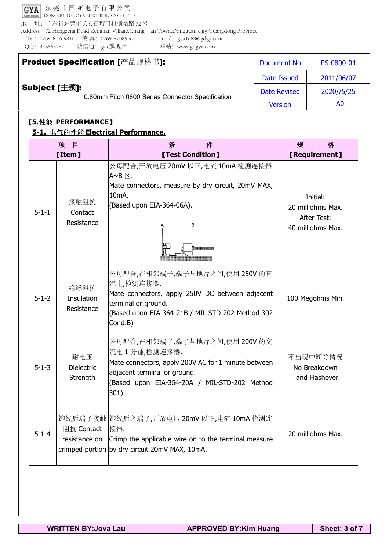GYA 东莞市国亚电子有限公司 DONGGUO GUOYA ELECTRONICS CO.,LTD 地 址:广东省东莞市长安镇增田村横增路 72 号 Address: 72 Hengzeng Road,Zengtian Village,Chang' an Town,Dongguan cigy,Guangdong Province E-Tel:0769-81769816 传 真:0769-87089563 E-mail:gya1688@gdgya.com QQ:316563782 诚信通:gya 旗舰店 网站:www.gdgya.com

|               | Product Specification [产品规格书]:                   | Document No         | PS-0800-01 |
|---------------|--------------------------------------------------|---------------------|------------|
|               |                                                  | Date Issued         | 2011/06/07 |
| Subject [主题]: | 0.80mm Pitch 0800 Series Connector Specification | <b>Date Revised</b> | 2020//5/25 |
|               |                                                  | <b>Version</b>      | A0         |

## 【**5.**性能 **PERFORMANCE**】

#### **5-1.** 电气的性能 **Electrical Performance.**

| 项<br>目<br><b>【Item】</b> |                                      | 条<br>件<br><b>[Test Condition]</b>                                                                                                                                                            | 格<br>规<br><b>【Requirement】</b>                                           |
|-------------------------|--------------------------------------|----------------------------------------------------------------------------------------------------------------------------------------------------------------------------------------------|--------------------------------------------------------------------------|
| $5 - 1 - 1$             | 接触阻抗<br>Contact<br>Resistance        | 公母配合,开放电压 20mV 以下,电流 10mA 检测连接器<br>$A \sim B \boxtimes$ .<br>Mate connectors, measure by dry circuit, 20mV MAX,<br>10 <sub>m</sub> A.<br>(Based upon EIA-364-06A).<br>R                      | Initial:<br>20 milliohms Max.<br><b>After Test:</b><br>40 milliohms Max. |
| $5 - 1 - 2$             | 绝缘阻抗<br>Insulation<br>Resistance     | 公母配合,在相邻端子,端子与地片之间,使用 250V 的直<br>流电,检测连接器.<br>Mate connectors, apply 250V DC between adjacent<br>terminal or ground.<br>(Based upon EIA-364-21B / MIL-STD-202 Method 302<br>Cond.B)          | 100 Megohms Min.                                                         |
| $5 - 1 - 3$             | 耐电压<br><b>Dielectric</b><br>Strength | 公母配合,在相邻端子,端子与地片之间,使用 200V 的交<br>流电1分锺,检测连接器.<br>Mate connectors, apply 200V AC for 1 minute between<br>adjacent terminal or ground.<br>(Based upon EIA-364-20A / MIL-STD-202 Method<br>301) | 不出现中断等情况<br>No Breakdown<br>and Flashover                                |
| $5 - 1 - 4$             | 阻抗 Contact<br>resistance on          | 铆线后端子接触  铆线后之端子,开放电压 20mV 以下,电流 10mA 检测连<br> 接器.<br>Crimp the applicable wire on to the terminal measure<br>crimped portion by dry circuit 20mV MAX, 10mA.                                   | 20 milliohms Max.                                                        |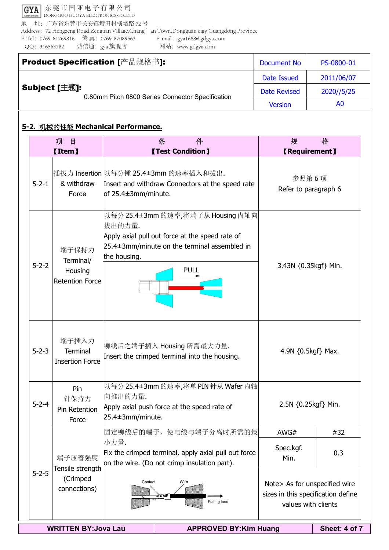GYA 东莞市国亚电子有限公司 DONGGUO GUOYA ELECTRONICS CO.,LTD 地 址:广东省东莞市长安镇增田村横增路 72 号 Address: 72 Hengzeng Road,Zengtian Village,Chang'an Town,Dongguan cigy,Guangdong Province E-Tel:0769-81769816 传 真:0769-87089563 E-mail:gya1688@gdgya.com QQ:316563782 诚信通:gya 旗舰店 网站:www.gdgya.com

| Product Specification [产品规格书]:                                    | Document No         | PS-0800-01 |
|-------------------------------------------------------------------|---------------------|------------|
|                                                                   | Date Issued         | 2011/06/07 |
| Subject [主题]:<br>0.80mm Pitch 0800 Series Connector Specification | <b>Date Revised</b> | 2020//5/25 |
|                                                                   | <b>Version</b>      | A0         |

# **5-2.** 机械的性能 **Mechanical Performance.**

| 项<br>目<br><b>[Item]</b> |                                                                              | 件<br>条<br><b>[Test Condition]</b>                                                                                                                                                      | 规<br><b>【Requirement】</b>                                                                  | 格                    |  |  |
|-------------------------|------------------------------------------------------------------------------|----------------------------------------------------------------------------------------------------------------------------------------------------------------------------------------|--------------------------------------------------------------------------------------------|----------------------|--|--|
|                         |                                                                              | 插拔力 Insertion 以每分锺 25.4±3mm 的速率插入和拔出.                                                                                                                                                  | 参照第6项                                                                                      |                      |  |  |
| $5 - 2 - 1$             | & withdraw<br>Force                                                          | Insert and withdraw Connectors at the speed rate<br>of 25.4±3mm/minute.                                                                                                                | Refer to paragraph 6                                                                       |                      |  |  |
| $5 - 2 - 2$             | 端子保持力<br>Terminal/<br>Housing<br><b>Retention Force</b>                      | 以每分 25.4±3mm 的速率,将端子从 Housing 内轴向<br> 拔出的力量.<br>Apply axial pull out force at the speed rate of<br>$ 25.4 \pm 3$ mm/minute on the terminal assembled in<br>the housing.<br><b>PULL</b> |                                                                                            | 3.43N {0.35kgf} Min. |  |  |
| $5 - 2 - 3$             | 端子插入力<br><b>Terminal</b><br><b>Insertion Force</b>                           | 铆线后之端子插入 Housing 所需最大力量.<br>Insert the crimped terminal into the housing.                                                                                                              | 4.9N $\{0.5\text{kgf}\}$ Max.                                                              |                      |  |  |
| $5 - 2 - 4$             | Pin<br>针保持力<br>Pin Retention<br>Force                                        | 以每分 25.4±3mm 的速率,将单 PIN 针从 Wafer 内轴<br>向推出的力量.<br>Apply axial push force at the speed rate of<br>25.4±3mm/minute.                                                                      |                                                                                            | 2.5N {0.25kgf} Min.  |  |  |
|                         |                                                                              | 固定铆线后的端子, 使电线与端子分离时所需的最                                                                                                                                                                | AWG#                                                                                       | #32                  |  |  |
|                         | 端子压着强度<br>Tensile strength                                                   | 小力量.<br>Fix the crimped terminal, apply axial pull out force<br>on the wire. (Do not crimp insulation part).                                                                           | Spec.kgf.<br>Min.                                                                          | 0.3                  |  |  |
| $5 - 2 - 5$             | (Crimped<br>connections)                                                     | Contact<br>Wire<br>心自<br>Pulling load                                                                                                                                                  | Note> As for unspecified wire<br>sizes in this specification define<br>values with clients |                      |  |  |
|                         | Sheet: 4 of 7<br><b>WRITTEN BY: Jova Lau</b><br><b>APPROVED BY:Kim Huang</b> |                                                                                                                                                                                        |                                                                                            |                      |  |  |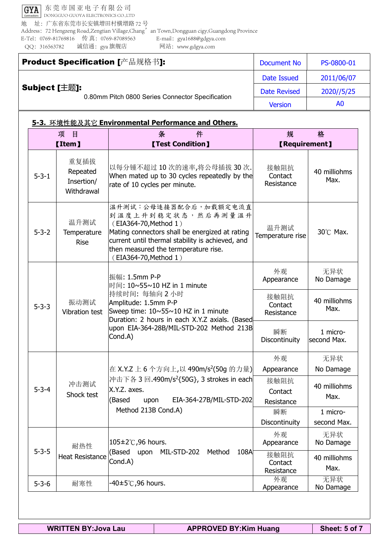GYA 东莞市国亚电子有限公司 DONGGUO GUOYA ELECTRONICS CO.,LTD 地 址:广东省东莞市长安镇增田村横增路 72 号 Address: 72 Hengzeng Road,Zengtian Village,Chang'an Town,Dongguan cigy,Guangdong Province E-Tel:0769-81769816 传 真:0769-87089563 E-mail:gya1688@gdgya.com QQ:316563782 诚信通:gya 旗舰店 网站:www.gdgya.com

|               | Product Specification [产品规格书]:                   | Document No         | PS-0800-01 |
|---------------|--------------------------------------------------|---------------------|------------|
|               |                                                  | Date Issued         | 2011/06/07 |
| Subject [主题]: | 0.80mm Pitch 0800 Series Connector Specification | <b>Date Revised</b> | 2020//5/25 |
|               |                                                  | <b>Version</b>      | A0         |

#### **5-3.** 环境性能及其它 **Environmental Performance and Others.**

| 项<br>目                                                              |                                                                                                                                                                                                                           | 件<br>条                                                                                                                                                                                                                                      |                               | 格                       |
|---------------------------------------------------------------------|---------------------------------------------------------------------------------------------------------------------------------------------------------------------------------------------------------------------------|---------------------------------------------------------------------------------------------------------------------------------------------------------------------------------------------------------------------------------------------|-------------------------------|-------------------------|
|                                                                     | <b>[Item]</b>                                                                                                                                                                                                             | <b>[Test Condition]</b>                                                                                                                                                                                                                     | <b>【Requirement】</b>          |                         |
| $5 - 3 - 1$                                                         | 重复插拔<br>Repeated<br>Insertion/<br>Withdrawal                                                                                                                                                                              | 以每分锺不超过10次的速率,将公母插拔30次.<br>When mated up to 30 cycles repeatedly by the<br>rate of 10 cycles per minute.                                                                                                                                    | 接触阻抗<br>Contact<br>Resistance | 40 milliohms<br>Max.    |
| $5 - 3 - 2$                                                         | 温升测试<br>Temperature<br><b>Rise</b>                                                                                                                                                                                        | 温升测试:公母连接器配合后,加载额定电流直<br>到温度上升到稳定状态,然后再测量温升<br>(EIA364-70, Method 1)<br>Mating connectors shall be energized at rating<br>current until thermal stability is achieved, and<br>then measured the termperature rise.<br>(EIA364-70, Method 1) | 温升测试<br>Temperature rise      | 30°C Max.               |
|                                                                     | 振幅: 1.5mm P-P<br>时间: 10~55~10 HZ in 1 minute<br>持续时间: 每轴向 2 小时<br>振动测试<br>Amplitude: 1.5mm P-P<br>Sweep time: $10 \times 55 \times 10$ HZ in 1 minute<br>Vibration test<br>Duration: 2 hours in each X.Y.Z axials. (Based | 外观<br>Appearance                                                                                                                                                                                                                            | 无异状<br>No Damage              |                         |
| $5 - 3 - 3$                                                         |                                                                                                                                                                                                                           |                                                                                                                                                                                                                                             | 接触阻抗<br>Contact<br>Resistance | 40 milliohms<br>Max.    |
|                                                                     |                                                                                                                                                                                                                           | upon EIA-364-28B/MIL-STD-202 Method 213B<br>Cond.A)                                                                                                                                                                                         | 瞬断<br>Discontinuity           | 1 micro-<br>second Max. |
|                                                                     |                                                                                                                                                                                                                           |                                                                                                                                                                                                                                             | 外观                            | 无异状                     |
|                                                                     |                                                                                                                                                                                                                           | 在 X.Y.Z 上 6 个方向上,以 490m/s <sup>2</sup> (50g 的力量)                                                                                                                                                                                            | Appearance                    | No Damage               |
| 冲击测试<br>$5 - 3 - 4$<br>X.Y.Z. axes.<br>Shock test<br>(Based<br>upon | 冲击下各 3 回.490m/s <sup>2</sup> {50G}, 3 strokes in each<br>EIA-364-27B/MIL-STD-202                                                                                                                                          | 接触阻抗<br>Contact<br>Resistance                                                                                                                                                                                                               | 40 milliohms<br>Max.          |                         |
|                                                                     | Method 213B Cond.A)                                                                                                                                                                                                       |                                                                                                                                                                                                                                             | 瞬断                            | 1 micro-                |
|                                                                     |                                                                                                                                                                                                                           |                                                                                                                                                                                                                                             | Discontinuity                 | second Max.             |
| $5 - 3 - 5$                                                         | 105±2℃,96 hours.<br>耐热性<br>(Based<br>upon<br><b>Heat Resistance</b><br>Cond.A)                                                                                                                                            |                                                                                                                                                                                                                                             | 外观<br>Appearance              | 无异状<br>No Damage        |
|                                                                     |                                                                                                                                                                                                                           | MIL-STD-202<br>108A<br>Method                                                                                                                                                                                                               | 接触阻抗<br>Contact<br>Resistance | 40 milliohms<br>Max.    |
| $5 - 3 - 6$                                                         | 耐寒性                                                                                                                                                                                                                       | -40±5℃,96 hours.                                                                                                                                                                                                                            | 外观<br>Appearance              | 无异状<br>No Damage        |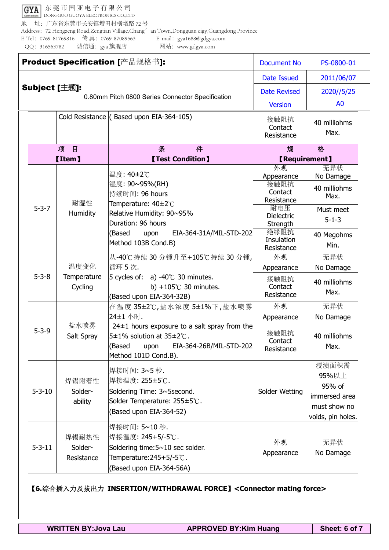GYA 东莞市国亚电子有限公司 DONGGUO GUOYA ELECTRONICS CO.,LTD 地 址:广东省东莞市长安镇增田村横增路 72 号 Address: 72 Hengzeng Road,Zengtian Village,Chang' an Town,Dongguan cigy,Guangdong Province E-Tel:0769-81769816 传 真:0769-87089563 E-mail:gya1688@gdgya.com QQ:316563782 诚信通:gya 旗舰店 网站:www.gdgya.com

|                                                  |               | Product Specification [产品规格书]: | <b>Document No</b>                                                                                                                                | PS-0800-01                       |                                                                                |
|--------------------------------------------------|---------------|--------------------------------|---------------------------------------------------------------------------------------------------------------------------------------------------|----------------------------------|--------------------------------------------------------------------------------|
|                                                  |               |                                | <b>Date Issued</b>                                                                                                                                | 2011/06/07                       |                                                                                |
|                                                  | Subject [主题]: |                                | <b>Date Revised</b>                                                                                                                               | 2020//5/25                       |                                                                                |
| 0.80mm Pitch 0800 Series Connector Specification |               |                                |                                                                                                                                                   | <b>Version</b>                   | A <sub>0</sub>                                                                 |
|                                                  |               |                                | Cold Resistance (Based upon EIA-364-105)                                                                                                          | 接触阻抗<br>Contact<br>Resistance    | 40 milliohms<br>Max.                                                           |
|                                                  |               | 项<br>目                         | 条<br>件                                                                                                                                            | 规                                | 格                                                                              |
|                                                  |               | <b>【Item】</b>                  | <b>[Test Condition]</b>                                                                                                                           | <b>【Requirement】</b>             |                                                                                |
|                                                  |               |                                | 温度: 40±2℃                                                                                                                                         | 外观<br>Appearance                 | 无异状<br>No Damage                                                               |
|                                                  |               |                                | 湿度: 90~95%(RH)<br>持续时间: 96 hours                                                                                                                  | 接触阻抗<br>Contact<br>Resistance    | 40 milliohms<br>Max.                                                           |
|                                                  | $5 - 3 - 7$   | 耐湿性<br>Humidity                | Temperature: 40±2°C<br>Relative Humidity: 90~95%<br>Duration: 96 hours                                                                            | 耐电压<br>Dielectric<br>Strength    | Must meet<br>$5 - 1 - 3$                                                       |
|                                                  |               |                                | EIA-364-31A/MIL-STD-202<br>(Based<br>upon<br>Method 103B Cond.B)                                                                                  | 绝缘阻抗<br>Insulation<br>Resistance | 40 Megohms<br>Min.                                                             |
|                                                  |               |                                | 从-40℃持续 30 分锺升至+105℃持续 30 分锺,                                                                                                                     | 外观                               | 无异状                                                                            |
|                                                  |               | 温度变化                           | 循环 5次.                                                                                                                                            | Appearance                       | No Damage                                                                      |
|                                                  | $5 - 3 - 8$   | Temperature<br>Cycling         | 5 cycles of: a) -40 $\degree$ C 30 minutes.<br>b) +105 $\degree$ C 30 minutes.<br>(Based upon EIA-364-32B)                                        | 接触阻抗<br>Contact<br>Resistance    | 40 milliohms<br>Max.                                                           |
|                                                  |               |                                | 在温度 35±2℃,盐水浓度 5±1%下,盐水喷雾                                                                                                                         | 外观                               | 无异状                                                                            |
|                                                  |               |                                | 24±1 小时.                                                                                                                                          | Appearance                       | No Damage                                                                      |
| $5 - 3 - 9$                                      |               | 盐水喷雾<br>Salt Spray             | $24\pm1$ hours exposure to a salt spray from the<br>5±1% solution at 35±2°C.<br>EIA-364-26B/MIL-STD-202<br>(Based<br>upon<br>Method 101D Cond.B). | 接触阻抗<br>Contact<br>Resistance    | 40 milliohms<br>Max.                                                           |
|                                                  | $5 - 3 - 10$  | 焊锡附着性<br>Solder-<br>ability    | 焊接时间: 3~5秒.<br>焊接温度: 255±5℃.<br>Soldering Time: 3~5second.<br>Solder Temperature: 255±5℃.<br>(Based upon EIA-364-52)                              | Solder Wetting                   | 浸渍面积需<br>95%以上<br>95% of<br>immersed area<br>must show no<br>voids, pin holes. |
|                                                  | $5 - 3 - 11$  | 焊锡耐热性<br>Solder-<br>Resistance | 焊接时间: 5~10秒.<br> 焊接温度: 245+5/-5℃.<br>Soldering time: 5~10 sec solder.<br>Temperature: 245+5/-5°C.<br>(Based upon EIA-364-56A)                     | 外观<br>Appearance                 | 无异状<br>No Damage                                                               |

【**6.**综合插入力及拔出力 **INSERTION/WITHDRAWAL FORCE**】**<Connector mating force>**